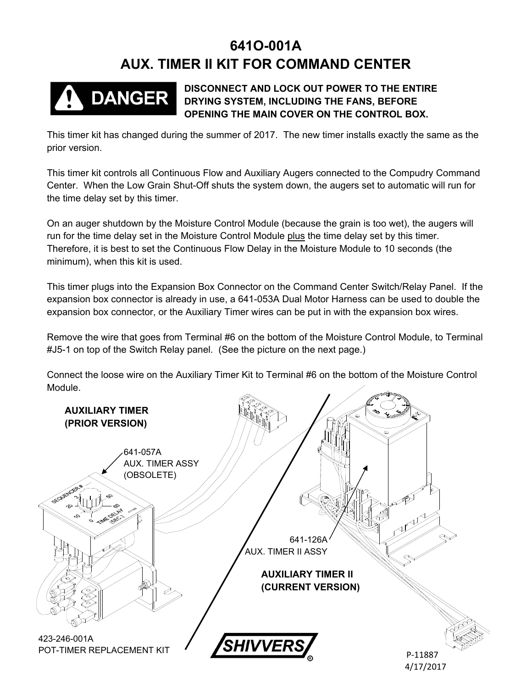## **641O-001A AUX. TIMER II KIT FOR COMMAND CENTER**



**DISCONNECT AND LOCK OUT POWER TO THE ENTIRE DRYING SYSTEM, INCLUDING THE FANS, BEFORE OPENING THE MAIN COVER ON THE CONTROL BOX.** 

This timer kit has changed during the summer of 2017. The new timer installs exactly the same as the prior version.

This timer kit controls all Continuous Flow and Auxiliary Augers connected to the Compudry Command Center. When the Low Grain Shut-Off shuts the system down, the augers set to automatic will run for the time delay set by this timer.

On an auger shutdown by the Moisture Control Module (because the grain is too wet), the augers will run for the time delay set in the Moisture Control Module plus the time delay set by this timer. Therefore, it is best to set the Continuous Flow Delay in the Moisture Module to 10 seconds (the minimum), when this kit is used.

This timer plugs into the Expansion Box Connector on the Command Center Switch/Relay Panel. If the expansion box connector is already in use, a 641-053A Dual Motor Harness can be used to double the expansion box connector, or the Auxiliary Timer wires can be put in with the expansion box wires.

Remove the wire that goes from Terminal #6 on the bottom of the Moisture Control Module, to Terminal #J5-1 on top of the Switch Relay panel. (See the picture on the next page.)

Connect the loose wire on the Auxiliary Timer Kit to Terminal #6 on the bottom of the Moisture Control Module.

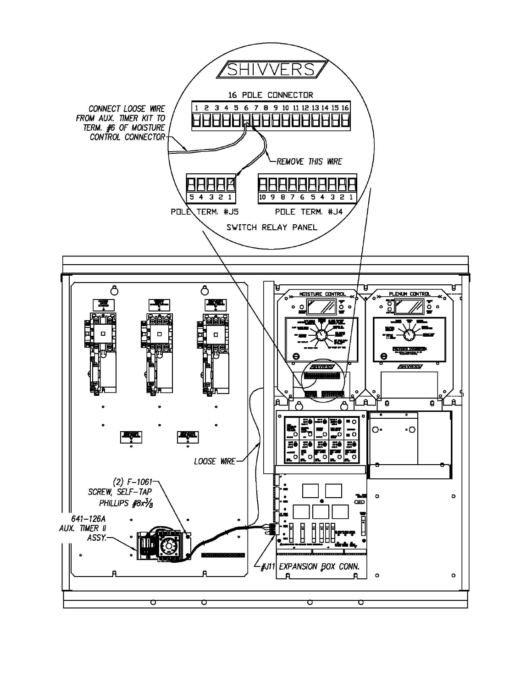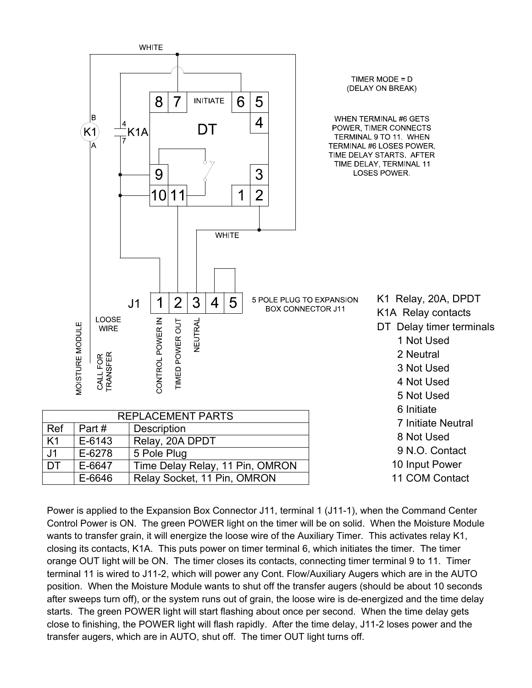

Power is applied to the Expansion Box Connector J11, terminal 1 (J11-1), when the Command Center Control Power is ON. The green POWER light on the timer will be on solid. When the Moisture Module wants to transfer grain, it will energize the loose wire of the Auxiliary Timer. This activates relay K1, closing its contacts, K1A. This puts power on timer terminal 6, which initiates the timer. The timer orange OUT light will be ON. The timer closes its contacts, connecting timer terminal 9 to 11. Timer terminal 11 is wired to J11-2, which will power any Cont. Flow/Auxiliary Augers which are in the AUTO position. When the Moisture Module wants to shut off the transfer augers (should be about 10 seconds after sweeps turn off), or the system runs out of grain, the loose wire is de-energized and the time delay starts. The green POWER light will start flashing about once per second. When the time delay gets close to finishing, the POWER light will flash rapidly. After the time delay, J11-2 loses power and the transfer augers, which are in AUTO, shut off. The timer OUT light turns off.